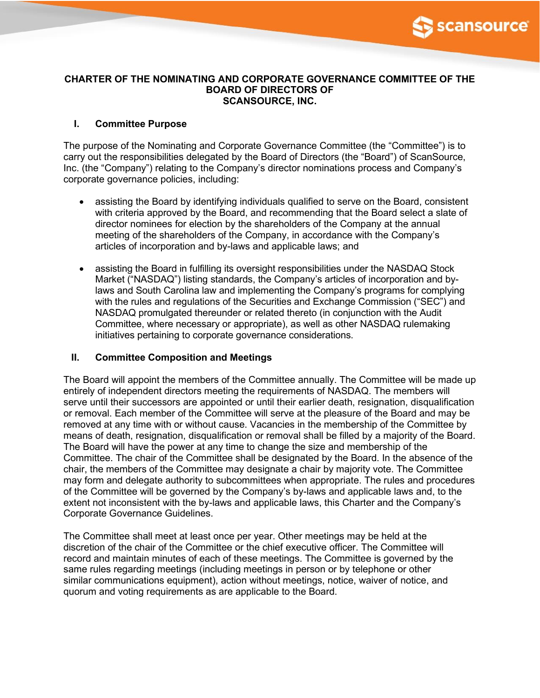

#### **CHARTER OF THE NOMINATING AND CORPORATE GOVERNANCE COMMITTEE OF THE BOARD OF DIRECTORS OF SCANSOURCE, INC.**

# **I. Committee Purpose**

The purpose of the Nominating and Corporate Governance Committee (the "Committee") is to carry out the responsibilities delegated by the Board of Directors (the "Board") of ScanSource, Inc. (the "Company") relating to the Company's director nominations process and Company's corporate governance policies, including:

- assisting the Board by identifying individuals qualified to serve on the Board, consistent with criteria approved by the Board, and recommending that the Board select a slate of director nominees for election by the shareholders of the Company at the annual meeting of the shareholders of the Company, in accordance with the Company's articles of incorporation and by-laws and applicable laws; and
- assisting the Board in fulfilling its oversight responsibilities under the NASDAQ Stock Market ("NASDAQ") listing standards, the Company's articles of incorporation and bylaws and South Carolina law and implementing the Company's programs for complying with the rules and regulations of the Securities and Exchange Commission ("SEC") and NASDAQ promulgated thereunder or related thereto (in conjunction with the Audit Committee, where necessary or appropriate), as well as other NASDAQ rulemaking initiatives pertaining to corporate governance considerations.

# **II. Committee Composition and Meetings**

The Board will appoint the members of the Committee annually. The Committee will be made up entirely of independent directors meeting the requirements of NASDAQ. The members will serve until their successors are appointed or until their earlier death, resignation, disqualification or removal. Each member of the Committee will serve at the pleasure of the Board and may be removed at any time with or without cause. Vacancies in the membership of the Committee by means of death, resignation, disqualification or removal shall be filled by a majority of the Board. The Board will have the power at any time to change the size and membership of the Committee. The chair of the Committee shall be designated by the Board. In the absence of the chair, the members of the Committee may designate a chair by majority vote. The Committee may form and delegate authority to subcommittees when appropriate. The rules and procedures of the Committee will be governed by the Company's by-laws and applicable laws and, to the extent not inconsistent with the by-laws and applicable laws, this Charter and the Company's Corporate Governance Guidelines.

The Committee shall meet at least once per year. Other meetings may be held at the discretion of the chair of the Committee or the chief executive officer. The Committee will record and maintain minutes of each of these meetings. The Committee is governed by the same rules regarding meetings (including meetings in person or by telephone or other similar communications equipment), action without meetings, notice, waiver of notice, and quorum and voting requirements as are applicable to the Board.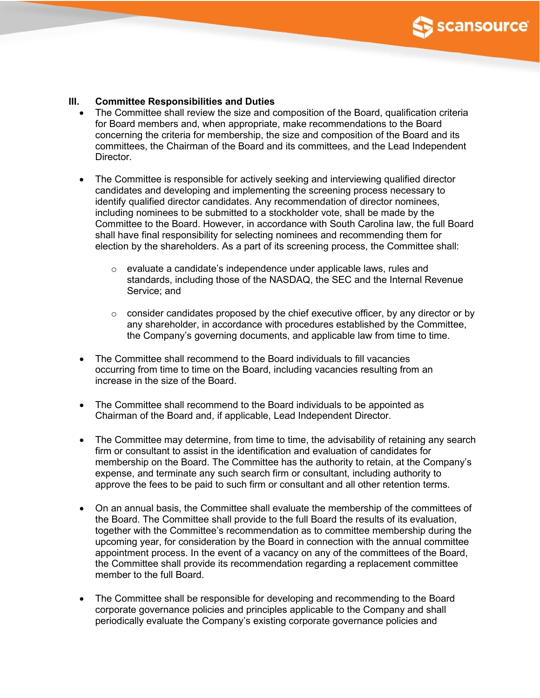

#### **III. Committee Responsibilities and Duties**

- The Committee shall review the size and composition of the Board, qualification criteria for Board members and, when appropriate, make recommendations to the Board concerning the criteria for membership, the size and composition of the Board and its committees, the Chairman of the Board and its committees, and the Lead Independent Director.
- The Committee is responsible for actively seeking and interviewing qualified director candidates and developing and implementing the screening process necessary to identify qualified director candidates. Any recommendation of director nominees, including nominees to be submitted to a stockholder vote, shall be made by the Committee to the Board. However, in accordance with South Carolina law, the full Board shall have final responsibility for selecting nominees and recommending them for election by the shareholders. As a part of its screening process, the Committee shall:
	- o evaluate a candidate's independence under applicable laws, rules and standards, including those of the NASDAQ, the SEC and the Internal Revenue Service; and
	- $\circ$  consider candidates proposed by the chief executive officer, by any director or by any shareholder, in accordance with procedures established by the Committee, the Company's governing documents, and applicable law from time to time.
- The Committee shall recommend to the Board individuals to fill vacancies occurring from time to time on the Board, including vacancies resulting from an increase in the size of the Board.
- The Committee shall recommend to the Board individuals to be appointed as Chairman of the Board and, if applicable, Lead Independent Director.
- The Committee may determine, from time to time, the advisability of retaining any search firm or consultant to assist in the identification and evaluation of candidates for membership on the Board. The Committee has the authority to retain, at the Company's expense, and terminate any such search firm or consultant, including authority to approve the fees to be paid to such firm or consultant and all other retention terms.
- On an annual basis, the Committee shall evaluate the membership of the committees of the Board. The Committee shall provide to the full Board the results of its evaluation, together with the Committee's recommendation as to committee membership during the upcoming year, for consideration by the Board in connection with the annual committee appointment process. In the event of a vacancy on any of the committees of the Board, the Committee shall provide its recommendation regarding a replacement committee member to the full Board.
- The Committee shall be responsible for developing and recommending to the Board corporate governance policies and principles applicable to the Company and shall periodically evaluate the Company's existing corporate governance policies and